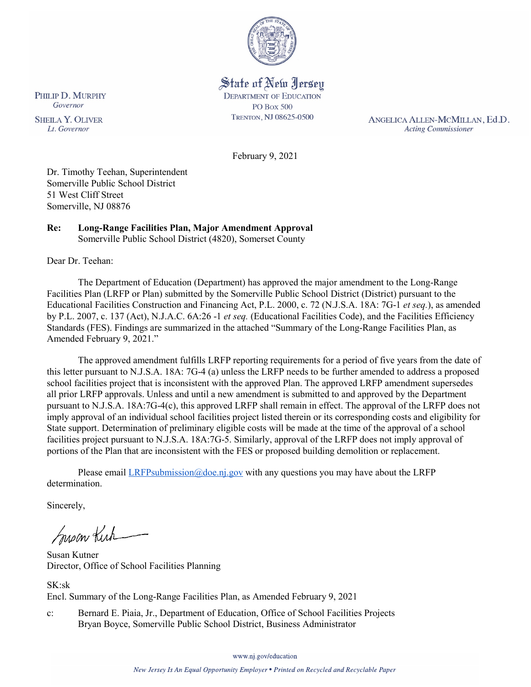

State of New Jersey **DEPARTMENT OF EDUCATION PO Box 500** TRENTON, NJ 08625-0500

ANGELICA ALLEN-MCMILLAN, Ed.D. **Acting Commissioner** 

February 9, 2021

Dr. Timothy Teehan, Superintendent Somerville Public School District 51 West Cliff Street Somerville, NJ 08876

#### **Re: Long-Range Facilities Plan, Major Amendment Approval**  Somerville Public School District (4820), Somerset County

Dear Dr. Teehan:

The Department of Education (Department) has approved the major amendment to the Long-Range Facilities Plan (LRFP or Plan) submitted by the Somerville Public School District (District) pursuant to the Educational Facilities Construction and Financing Act, P.L. 2000, c. 72 (N.J.S.A. 18A: 7G-1 *et seq.*), as amended by P.L. 2007, c. 137 (Act), N.J.A.C. 6A:26 -1 *et seq.* (Educational Facilities Code), and the Facilities Efficiency Standards (FES). Findings are summarized in the attached "Summary of the Long-Range Facilities Plan, as Amended February 9, 2021."

The approved amendment fulfills LRFP reporting requirements for a period of five years from the date of this letter pursuant to N.J.S.A. 18A: 7G-4 (a) unless the LRFP needs to be further amended to address a proposed school facilities project that is inconsistent with the approved Plan. The approved LRFP amendment supersedes all prior LRFP approvals. Unless and until a new amendment is submitted to and approved by the Department pursuant to N.J.S.A. 18A:7G-4(c), this approved LRFP shall remain in effect. The approval of the LRFP does not imply approval of an individual school facilities project listed therein or its corresponding costs and eligibility for State support. Determination of preliminary eligible costs will be made at the time of the approval of a school facilities project pursuant to N.J.S.A. 18A:7G-5. Similarly, approval of the LRFP does not imply approval of portions of the Plan that are inconsistent with the FES or proposed building demolition or replacement.

Please email *LRFPsubmission@doe.nj.gov* with any questions you may have about the LRFP determination.

Sincerely,

Susan Kich

Susan Kutner Director, Office of School Facilities Planning

SK:sk Encl. Summary of the Long-Range Facilities Plan, as Amended February 9, 2021

c: Bernard E. Piaia, Jr., Department of Education, Office of School Facilities Projects Bryan Boyce, Somerville Public School District, Business Administrator

PHILIP D. MURPHY Governor

**SHEILA Y. OLIVER** Lt. Governor

www.nj.gov/education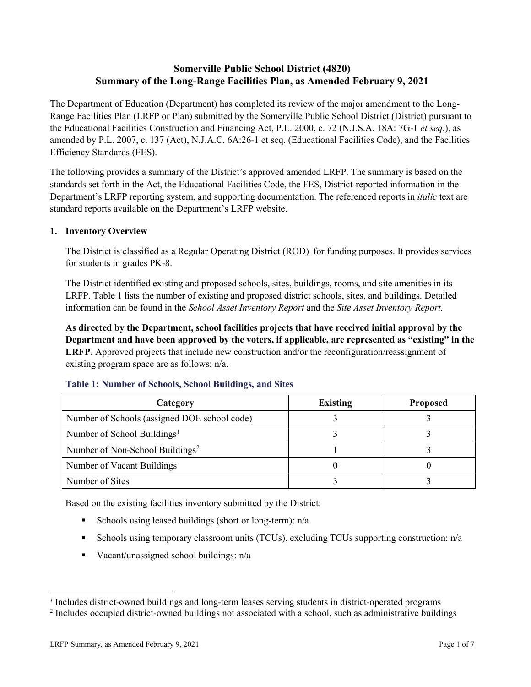## **Somerville Public School District (4820) Summary of the Long-Range Facilities Plan, as Amended February 9, 2021**

The Department of Education (Department) has completed its review of the major amendment to the Long-Range Facilities Plan (LRFP or Plan) submitted by the Somerville Public School District (District) pursuant to the Educational Facilities Construction and Financing Act, P.L. 2000, c. 72 (N.J.S.A. 18A: 7G-1 *et seq.*), as amended by P.L. 2007, c. 137 (Act), N.J.A.C. 6A:26-1 et seq. (Educational Facilities Code), and the Facilities Efficiency Standards (FES).

The following provides a summary of the District's approved amended LRFP. The summary is based on the standards set forth in the Act, the Educational Facilities Code, the FES, District-reported information in the Department's LRFP reporting system, and supporting documentation. The referenced reports in *italic* text are standard reports available on the Department's LRFP website.

## **1. Inventory Overview**

The District is classified as a Regular Operating District (ROD) for funding purposes. It provides services for students in grades PK-8.

The District identified existing and proposed schools, sites, buildings, rooms, and site amenities in its LRFP. Table 1 lists the number of existing and proposed district schools, sites, and buildings. Detailed information can be found in the *School Asset Inventory Report* and the *Site Asset Inventory Report.*

**As directed by the Department, school facilities projects that have received initial approval by the Department and have been approved by the voters, if applicable, are represented as "existing" in the LRFP.** Approved projects that include new construction and/or the reconfiguration/reassignment of existing program space are as follows: n/a.

| Category                                     | <b>Existing</b> | <b>Proposed</b> |
|----------------------------------------------|-----------------|-----------------|
| Number of Schools (assigned DOE school code) |                 |                 |
| Number of School Buildings <sup>1</sup>      |                 |                 |
| Number of Non-School Buildings <sup>2</sup>  |                 |                 |
| Number of Vacant Buildings                   |                 |                 |
| Number of Sites                              |                 |                 |

#### **Table 1: Number of Schools, School Buildings, and Sites**

Based on the existing facilities inventory submitted by the District:

- Schools using leased buildings (short or long-term):  $n/a$
- Schools using temporary classroom units (TCUs), excluding TCUs supporting construction: n/a
- Vacant/unassigned school buildings:  $n/a$

 $\overline{a}$ 

<span id="page-1-1"></span><span id="page-1-0"></span>*<sup>1</sup>* Includes district-owned buildings and long-term leases serving students in district-operated programs

<sup>&</sup>lt;sup>2</sup> Includes occupied district-owned buildings not associated with a school, such as administrative buildings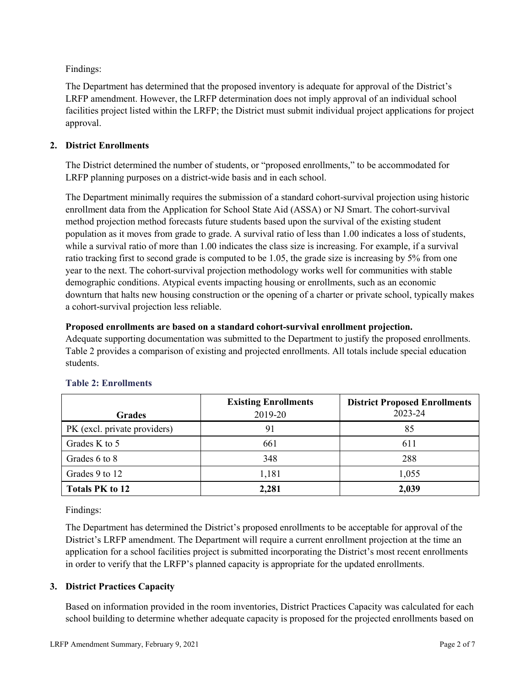Findings:

The Department has determined that the proposed inventory is adequate for approval of the District's LRFP amendment. However, the LRFP determination does not imply approval of an individual school facilities project listed within the LRFP; the District must submit individual project applications for project approval.

## **2. District Enrollments**

The District determined the number of students, or "proposed enrollments," to be accommodated for LRFP planning purposes on a district-wide basis and in each school.

The Department minimally requires the submission of a standard cohort-survival projection using historic enrollment data from the Application for School State Aid (ASSA) or NJ Smart. The cohort-survival method projection method forecasts future students based upon the survival of the existing student population as it moves from grade to grade. A survival ratio of less than 1.00 indicates a loss of students, while a survival ratio of more than 1.00 indicates the class size is increasing. For example, if a survival ratio tracking first to second grade is computed to be 1.05, the grade size is increasing by 5% from one year to the next. The cohort-survival projection methodology works well for communities with stable demographic conditions. Atypical events impacting housing or enrollments, such as an economic downturn that halts new housing construction or the opening of a charter or private school, typically makes a cohort-survival projection less reliable.

## **Proposed enrollments are based on a standard cohort-survival enrollment projection.**

Adequate supporting documentation was submitted to the Department to justify the proposed enrollments. Table 2 provides a comparison of existing and projected enrollments. All totals include special education students.

|                              | <b>Existing Enrollments</b> | <b>District Proposed Enrollments</b> |
|------------------------------|-----------------------------|--------------------------------------|
| <b>Grades</b>                | 2019-20                     | 2023-24                              |
| PK (excl. private providers) | 91                          | 85                                   |
| Grades K to 5                | 661                         | 611                                  |
| Grades 6 to 8                | 348                         | 288                                  |
| Grades 9 to 12               | 1,181                       | 1,055                                |
| <b>Totals PK to 12</b>       | 2,281                       | 2,039                                |

# **Table 2: Enrollments**

Findings:

The Department has determined the District's proposed enrollments to be acceptable for approval of the District's LRFP amendment. The Department will require a current enrollment projection at the time an application for a school facilities project is submitted incorporating the District's most recent enrollments in order to verify that the LRFP's planned capacity is appropriate for the updated enrollments.

# **3. District Practices Capacity**

Based on information provided in the room inventories, District Practices Capacity was calculated for each school building to determine whether adequate capacity is proposed for the projected enrollments based on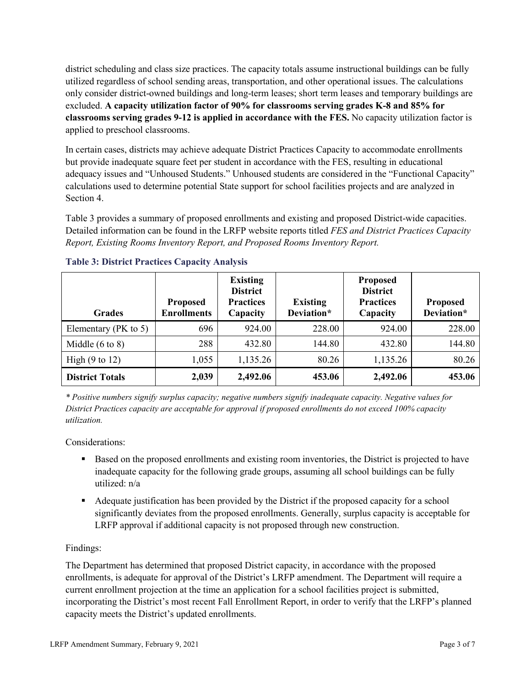district scheduling and class size practices. The capacity totals assume instructional buildings can be fully utilized regardless of school sending areas, transportation, and other operational issues. The calculations only consider district-owned buildings and long-term leases; short term leases and temporary buildings are excluded. **A capacity utilization factor of 90% for classrooms serving grades K-8 and 85% for classrooms serving grades 9-12 is applied in accordance with the FES.** No capacity utilization factor is applied to preschool classrooms.

In certain cases, districts may achieve adequate District Practices Capacity to accommodate enrollments but provide inadequate square feet per student in accordance with the FES, resulting in educational adequacy issues and "Unhoused Students." Unhoused students are considered in the "Functional Capacity" calculations used to determine potential State support for school facilities projects and are analyzed in Section 4.

Table 3 provides a summary of proposed enrollments and existing and proposed District-wide capacities. Detailed information can be found in the LRFP website reports titled *FES and District Practices Capacity Report, Existing Rooms Inventory Report, and Proposed Rooms Inventory Report.*

| <b>Grades</b>              | <b>Proposed</b><br><b>Enrollments</b> | <b>Existing</b><br><b>District</b><br><b>Practices</b><br>Capacity | <b>Existing</b><br>Deviation* | <b>Proposed</b><br><b>District</b><br><b>Practices</b><br>Capacity | <b>Proposed</b><br>Deviation* |
|----------------------------|---------------------------------------|--------------------------------------------------------------------|-------------------------------|--------------------------------------------------------------------|-------------------------------|
| Elementary ( $PK$ to 5)    | 696                                   | 924.00                                                             | 228.00                        | 924.00                                                             | 228.00                        |
| Middle $(6 \text{ to } 8)$ | 288                                   | 432.80                                                             | 144.80                        | 432.80                                                             | 144.80                        |
| High $(9 \text{ to } 12)$  | 1,055                                 | 1,135.26                                                           | 80.26                         | 1,135.26                                                           | 80.26                         |
| <b>District Totals</b>     | 2,039                                 | 2,492.06                                                           | 453.06                        | 2,492.06                                                           | 453.06                        |

## **Table 3: District Practices Capacity Analysis**

*\* Positive numbers signify surplus capacity; negative numbers signify inadequate capacity. Negative values for District Practices capacity are acceptable for approval if proposed enrollments do not exceed 100% capacity utilization.*

Considerations:

- Based on the proposed enrollments and existing room inventories, the District is projected to have inadequate capacity for the following grade groups, assuming all school buildings can be fully utilized: n/a
- Adequate justification has been provided by the District if the proposed capacity for a school significantly deviates from the proposed enrollments. Generally, surplus capacity is acceptable for LRFP approval if additional capacity is not proposed through new construction.

## Findings:

The Department has determined that proposed District capacity, in accordance with the proposed enrollments, is adequate for approval of the District's LRFP amendment. The Department will require a current enrollment projection at the time an application for a school facilities project is submitted, incorporating the District's most recent Fall Enrollment Report, in order to verify that the LRFP's planned capacity meets the District's updated enrollments.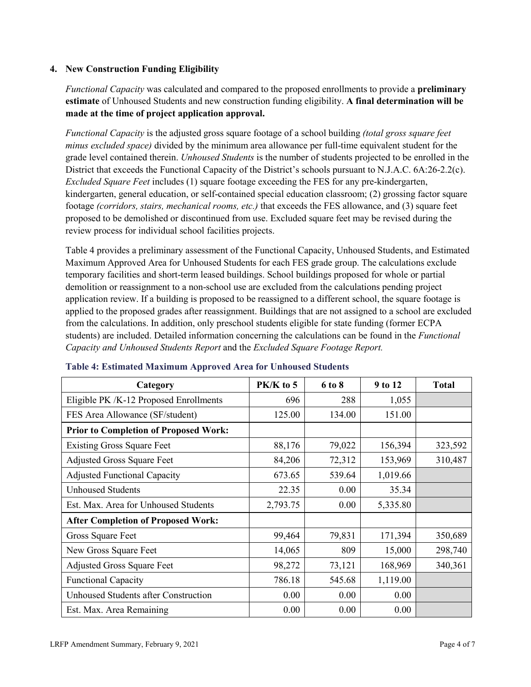## **4. New Construction Funding Eligibility**

*Functional Capacity* was calculated and compared to the proposed enrollments to provide a **preliminary estimate** of Unhoused Students and new construction funding eligibility. **A final determination will be made at the time of project application approval.**

*Functional Capacity* is the adjusted gross square footage of a school building *(total gross square feet minus excluded space)* divided by the minimum area allowance per full-time equivalent student for the grade level contained therein. *Unhoused Students* is the number of students projected to be enrolled in the District that exceeds the Functional Capacity of the District's schools pursuant to N.J.A.C. 6A:26-2.2(c). *Excluded Square Feet* includes (1) square footage exceeding the FES for any pre-kindergarten, kindergarten, general education, or self-contained special education classroom; (2) grossing factor square footage *(corridors, stairs, mechanical rooms, etc.)* that exceeds the FES allowance, and (3) square feet proposed to be demolished or discontinued from use. Excluded square feet may be revised during the review process for individual school facilities projects.

Table 4 provides a preliminary assessment of the Functional Capacity, Unhoused Students, and Estimated Maximum Approved Area for Unhoused Students for each FES grade group. The calculations exclude temporary facilities and short-term leased buildings. School buildings proposed for whole or partial demolition or reassignment to a non-school use are excluded from the calculations pending project application review. If a building is proposed to be reassigned to a different school, the square footage is applied to the proposed grades after reassignment. Buildings that are not assigned to a school are excluded from the calculations. In addition, only preschool students eligible for state funding (former ECPA students) are included. Detailed information concerning the calculations can be found in the *Functional Capacity and Unhoused Students Report* and the *Excluded Square Footage Report.*

| Category                                     | PK/K to 5 | 6 to 8 | 9 to 12  | <b>Total</b> |
|----------------------------------------------|-----------|--------|----------|--------------|
| Eligible PK /K-12 Proposed Enrollments       | 696       | 288    | 1,055    |              |
| FES Area Allowance (SF/student)              | 125.00    | 134.00 | 151.00   |              |
| <b>Prior to Completion of Proposed Work:</b> |           |        |          |              |
| <b>Existing Gross Square Feet</b>            | 88,176    | 79,022 | 156,394  | 323,592      |
| <b>Adjusted Gross Square Feet</b>            | 84,206    | 72,312 | 153,969  | 310,487      |
| <b>Adjusted Functional Capacity</b>          | 673.65    | 539.64 | 1,019.66 |              |
| <b>Unhoused Students</b>                     | 22.35     | 0.00   | 35.34    |              |
| Est. Max. Area for Unhoused Students         | 2,793.75  | 0.00   | 5,335.80 |              |
| <b>After Completion of Proposed Work:</b>    |           |        |          |              |
| Gross Square Feet                            | 99,464    | 79,831 | 171,394  | 350,689      |
| New Gross Square Feet                        | 14,065    | 809    | 15,000   | 298,740      |
| <b>Adjusted Gross Square Feet</b>            | 98,272    | 73,121 | 168,969  | 340,361      |
| <b>Functional Capacity</b>                   | 786.18    | 545.68 | 1,119.00 |              |
| <b>Unhoused Students after Construction</b>  | 0.00      | 0.00   | 0.00     |              |
| Est. Max. Area Remaining                     | 0.00      | 0.00   | 0.00     |              |

#### **Table 4: Estimated Maximum Approved Area for Unhoused Students**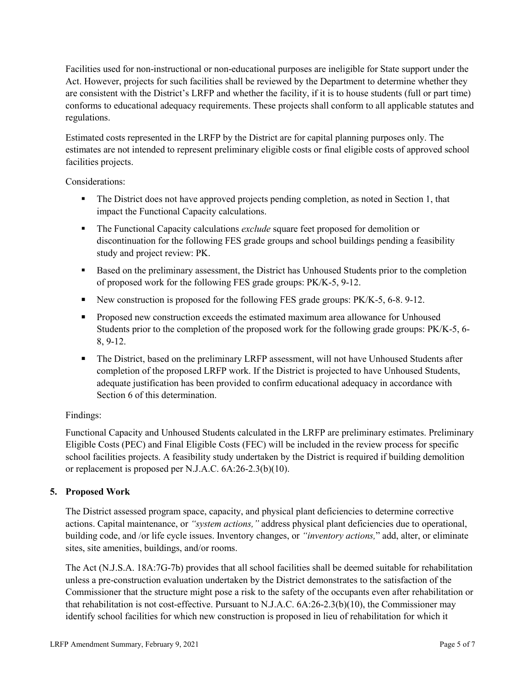Facilities used for non-instructional or non-educational purposes are ineligible for State support under the Act. However, projects for such facilities shall be reviewed by the Department to determine whether they are consistent with the District's LRFP and whether the facility, if it is to house students (full or part time) conforms to educational adequacy requirements. These projects shall conform to all applicable statutes and regulations.

Estimated costs represented in the LRFP by the District are for capital planning purposes only. The estimates are not intended to represent preliminary eligible costs or final eligible costs of approved school facilities projects.

Considerations:

- The District does not have approved projects pending completion, as noted in Section 1, that impact the Functional Capacity calculations.
- **The Functional Capacity calculations** *exclude* square feet proposed for demolition or discontinuation for the following FES grade groups and school buildings pending a feasibility study and project review: PK.
- Based on the preliminary assessment, the District has Unhoused Students prior to the completion of proposed work for the following FES grade groups: PK/K-5, 9-12.
- New construction is proposed for the following FES grade groups: PK/K-5, 6-8. 9-12.
- Proposed new construction exceeds the estimated maximum area allowance for Unhoused Students prior to the completion of the proposed work for the following grade groups: PK/K-5, 6- 8, 9-12.
- The District, based on the preliminary LRFP assessment, will not have Unhoused Students after completion of the proposed LRFP work. If the District is projected to have Unhoused Students, adequate justification has been provided to confirm educational adequacy in accordance with Section 6 of this determination.

## Findings:

Functional Capacity and Unhoused Students calculated in the LRFP are preliminary estimates. Preliminary Eligible Costs (PEC) and Final Eligible Costs (FEC) will be included in the review process for specific school facilities projects. A feasibility study undertaken by the District is required if building demolition or replacement is proposed per N.J.A.C. 6A:26-2.3(b)(10).

## **5. Proposed Work**

The District assessed program space, capacity, and physical plant deficiencies to determine corrective actions. Capital maintenance, or *"system actions,"* address physical plant deficiencies due to operational, building code, and /or life cycle issues. Inventory changes, or *"inventory actions,*" add, alter, or eliminate sites, site amenities, buildings, and/or rooms.

The Act (N.J.S.A. 18A:7G-7b) provides that all school facilities shall be deemed suitable for rehabilitation unless a pre-construction evaluation undertaken by the District demonstrates to the satisfaction of the Commissioner that the structure might pose a risk to the safety of the occupants even after rehabilitation or that rehabilitation is not cost-effective. Pursuant to N.J.A.C. 6A:26-2.3(b)(10), the Commissioner may identify school facilities for which new construction is proposed in lieu of rehabilitation for which it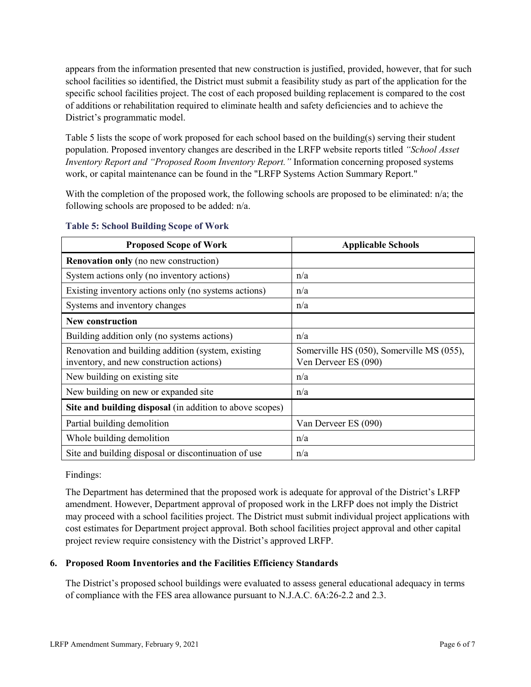appears from the information presented that new construction is justified, provided, however, that for such school facilities so identified, the District must submit a feasibility study as part of the application for the specific school facilities project. The cost of each proposed building replacement is compared to the cost of additions or rehabilitation required to eliminate health and safety deficiencies and to achieve the District's programmatic model.

Table 5 lists the scope of work proposed for each school based on the building(s) serving their student population. Proposed inventory changes are described in the LRFP website reports titled *"School Asset Inventory Report and "Proposed Room Inventory Report."* Information concerning proposed systems work, or capital maintenance can be found in the "LRFP Systems Action Summary Report."

With the completion of the proposed work, the following schools are proposed to be eliminated: n/a; the following schools are proposed to be added: n/a.

| <b>Proposed Scope of Work</b>                                                                  | <b>Applicable Schools</b>                                         |
|------------------------------------------------------------------------------------------------|-------------------------------------------------------------------|
| <b>Renovation only</b> (no new construction)                                                   |                                                                   |
| System actions only (no inventory actions)                                                     | n/a                                                               |
| Existing inventory actions only (no systems actions)                                           | n/a                                                               |
| Systems and inventory changes                                                                  | n/a                                                               |
| <b>New construction</b>                                                                        |                                                                   |
| Building addition only (no systems actions)                                                    | n/a                                                               |
| Renovation and building addition (system, existing<br>inventory, and new construction actions) | Somerville HS (050), Somerville MS (055),<br>Ven Derveer ES (090) |
| New building on existing site                                                                  | n/a                                                               |
| New building on new or expanded site                                                           | n/a                                                               |
| Site and building disposal (in addition to above scopes)                                       |                                                                   |
| Partial building demolition                                                                    | Van Derveer ES (090)                                              |
| Whole building demolition                                                                      | n/a                                                               |
| Site and building disposal or discontinuation of use                                           | n/a                                                               |

#### **Table 5: School Building Scope of Work**

Findings:

The Department has determined that the proposed work is adequate for approval of the District's LRFP amendment. However, Department approval of proposed work in the LRFP does not imply the District may proceed with a school facilities project. The District must submit individual project applications with cost estimates for Department project approval. Both school facilities project approval and other capital project review require consistency with the District's approved LRFP.

## **6. Proposed Room Inventories and the Facilities Efficiency Standards**

The District's proposed school buildings were evaluated to assess general educational adequacy in terms of compliance with the FES area allowance pursuant to N.J.A.C. 6A:26-2.2 and 2.3.